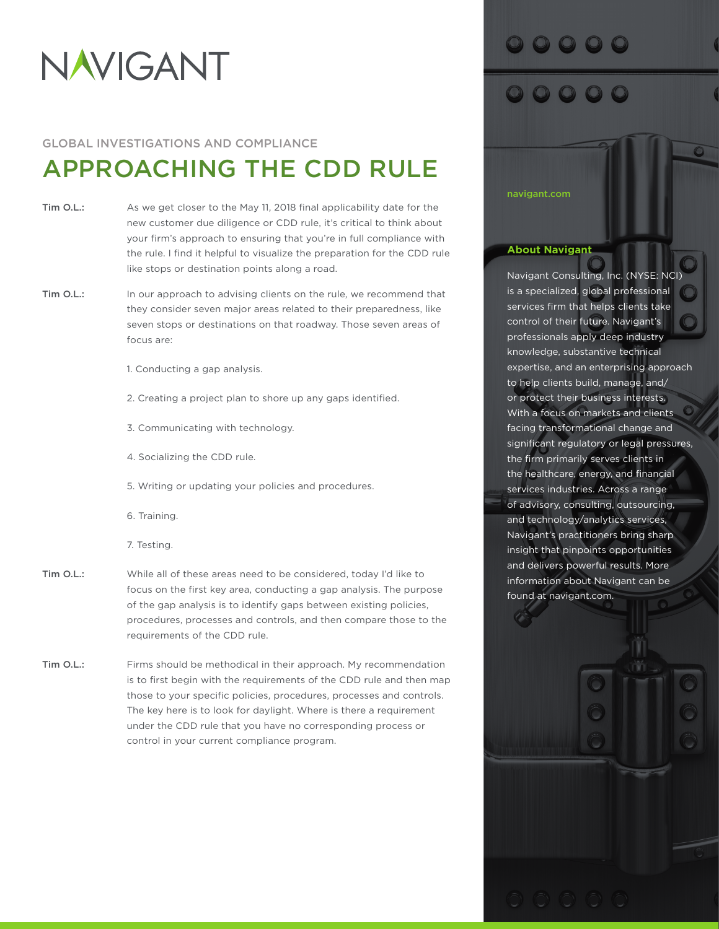# NAVIGANT

### GLOBAL INVESTIGATIONS AND COMPLIANCE

## APPROACHING THE CDD RULE

- [Tim O.L.:](https://www.rev.com/transcript-editor/Edit?token=BuSk8qncfpqjigmBk-b51rV_znd2tgc3inoW1OvlltwP0qC7nTmJWZP9ws9dEfxJRuExytg6jjhgPuvgL8jBwKZ7iN0&loadFrom=DocumentSpeakerNameDeeplink&ts=0.73) As we get closer to the May 11, 2018 final applicability date for the new customer due diligence or CDD rule, it's critical to think about your firm's approach to ensuring that you're in full compliance with the rule. I find it helpful to visualize the preparation for the CDD rule like stops or destination points along a road.
- [Tim O.L.:](https://www.rev.com/transcript-editor/Edit?token=BuSk8qncfpqjigmBk-b51rV_znd2tgc3inoW1OvlltwP0qC7nTmJWZP9ws9dEfxJRuExytg6jjhgPuvgL8jBwKZ7iN0&loadFrom=DocumentSpeakerNameDeeplink&ts=0.73) In our approach to advising clients on the rule, we recommend that they consider seven major areas related to their preparedness, like seven stops or destinations on that roadway. Those seven areas of focus are:
	- 1. Conducting a gap analysis.
	- 2. Creating a project plan to shore up any gaps identified.
	- 3. Communicating with technology.
	- 4. Socializing the CDD rule.
	- 5. Writing or updating your policies and procedures.
	- 6. Training.
	- 7. Testing.
- [Tim O.L.:](https://www.rev.com/transcript-editor/Edit?token=BuSk8qncfpqjigmBk-b51rV_znd2tgc3inoW1OvlltwP0qC7nTmJWZP9ws9dEfxJRuExytg6jjhgPuvgL8jBwKZ7iN0&loadFrom=DocumentSpeakerNameDeeplink&ts=0.73) While all of these areas need to be considered, today I'd like to focus on the first key area, conducting a gap analysis. The purpose of the gap analysis is to identify gaps between existing policies, procedures, processes and controls, and then compare those to the requirements of the CDD rule.
- [Tim O.L.:](https://www.rev.com/transcript-editor/Edit?token=BuSk8qncfpqjigmBk-b51rV_znd2tgc3inoW1OvlltwP0qC7nTmJWZP9ws9dEfxJRuExytg6jjhgPuvgL8jBwKZ7iN0&loadFrom=DocumentSpeakerNameDeeplink&ts=0.73) Firms should be methodical in their approach. My recommendation is to first begin with the requirements of the CDD rule and then map those to your specific policies, procedures, processes and controls. The key here is to look for daylight. Where is there a requirement under the CDD rule that you have no corresponding process or control in your current compliance program.

### 0000

#### [navigant.com](http://navigant.com)

### **About Navigant**

Navigant Consulting, Inc. (NYSE: NCI) is a specialized, global professional services firm that helps clients take control of their future. Navigant's professionals apply deep industry knowledge, substantive technical expertise, and an enterprising approach to help clients build, manage, and/ or protect their business interests. With a focus on markets and clients facing transformational change and significant regulatory or legal pressures, the firm primarily serves clients in the healthcare, energy, and financial services industries. Across a range of advisory, consulting, outsourcing, and technology/analytics services, Navigant's practitioners bring sharp insight that pinpoints opportunities and delivers powerful results. More information about Navigant can be found at [navigant.com](http://navigant.com).